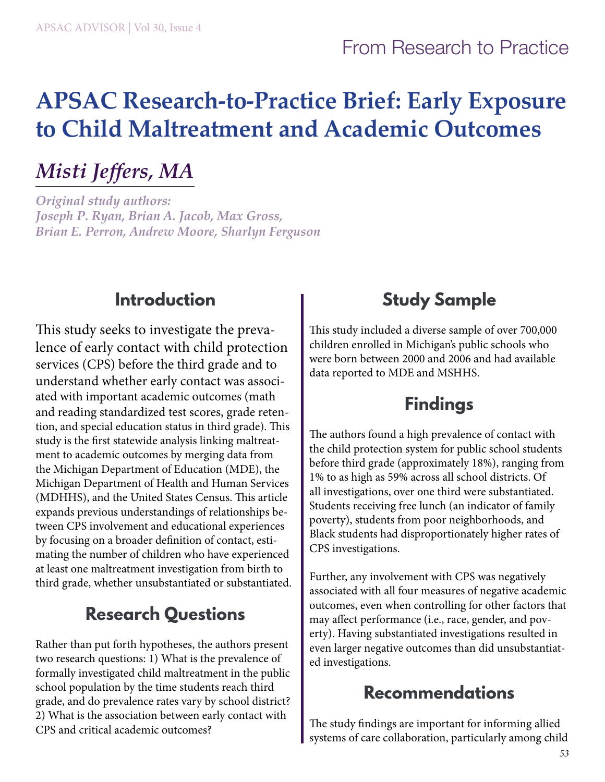# **APSAC Research-to-Practice Brief: Early Exposure to Child Maltreatment and Academic Outcomes**

## *Misti Jeffers, MA*

*Original study authors: Joseph P. Ryan, Brian A. Jacob, Max Gross, Brian E. Perron, Andrew Moore, Sharlyn Ferguson*

#### **Introduction**

This study seeks to investigate the prevalence of early contact with child protection services (CPS) before the third grade and to understand whether early contact was associated with important academic outcomes (math and reading standardized test scores, grade retention, and special education status in third grade). This study is the first statewide analysis linking maltreatment to academic outcomes by merging data from the Michigan Department of Education (MDE), the Michigan Department of Health and Human Services (MDHHS), and the United States Census. This article expands previous understandings of relationships between CPS involvement and educational experiences by focusing on a broader definition of contact, estimating the number of children who have experienced at least one maltreatment investigation from birth to third grade, whether unsubstantiated or substantiated.

### **Research Questions**

Rather than put forth hypotheses, the authors present two research questions: 1) What is the prevalence of formally investigated child maltreatment in the public school population by the time students reach third grade, and do prevalence rates vary by school district? 2) What is the association between early contact with CPS and critical academic outcomes?

### **Study Sample**

This study included a diverse sample of over 700,000 children enrolled in Michigan's public schools who were born between 2000 and 2006 and had available data reported to MDE and MSHHS.

#### **Findings**

The authors found a high prevalence of contact with the child protection system for public school students before third grade (approximately 18%), ranging from 1% to as high as 59% across all school districts. Of all investigations, over one third were substantiated. Students receiving free lunch (an indicator of family poverty), students from poor neighborhoods, and Black students had disproportionately higher rates of CPS investigations.

Further, any involvement with CPS was negatively associated with all four measures of negative academic outcomes, even when controlling for other factors that may affect performance (i.e., race, gender, and poverty). Having substantiated investigations resulted in even larger negative outcomes than did unsubstantiated investigations.

#### **Recommendations**

The study findings are important for informing allied systems of care collaboration, particularly among child